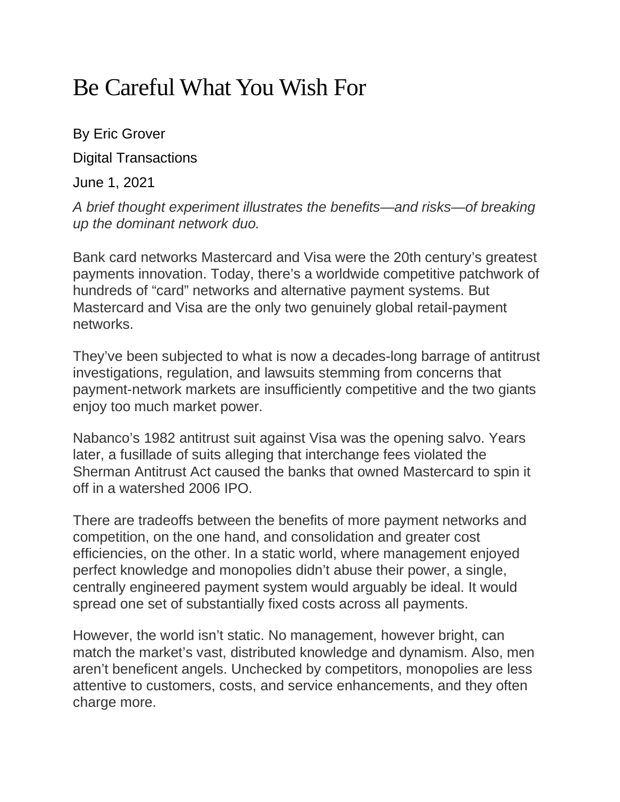## Be Careful What You Wish For

By Eric Grover

Digital Transactions

June 1, 2021

*A brief thought experiment illustrates the benefits—and risks—of breaking up the dominant network duo.*

Bank card networks Mastercard and Visa were the 20th century's greatest payments innovation. Today, there's a worldwide competitive patchwork of hundreds of "card" networks and alternative payment systems. But Mastercard and Visa are the only two genuinely global retail-payment networks.

They've been subjected to what is now a decades-long barrage of antitrust investigations, regulation, and lawsuits stemming from concerns that payment-network markets are insufficiently competitive and the two giants enjoy too much market power.

Nabanco's 1982 antitrust suit against Visa was the opening salvo. Years later, a fusillade of suits alleging that interchange fees violated the Sherman Antitrust Act caused the banks that owned Mastercard to spin it off in a watershed 2006 IPO.

There are tradeoffs between the benefits of more payment networks and competition, on the one hand, and consolidation and greater cost efficiencies, on the other. In a static world, where management enjoyed perfect knowledge and monopolies didn't abuse their power, a single, centrally engineered payment system would arguably be ideal. It would spread one set of substantially fixed costs across all payments.

However, the world isn't static. No management, however bright, can match the market's vast, distributed knowledge and dynamism. Also, men aren't beneficent angels. Unchecked by competitors, monopolies are less attentive to customers, costs, and service enhancements, and they often charge more.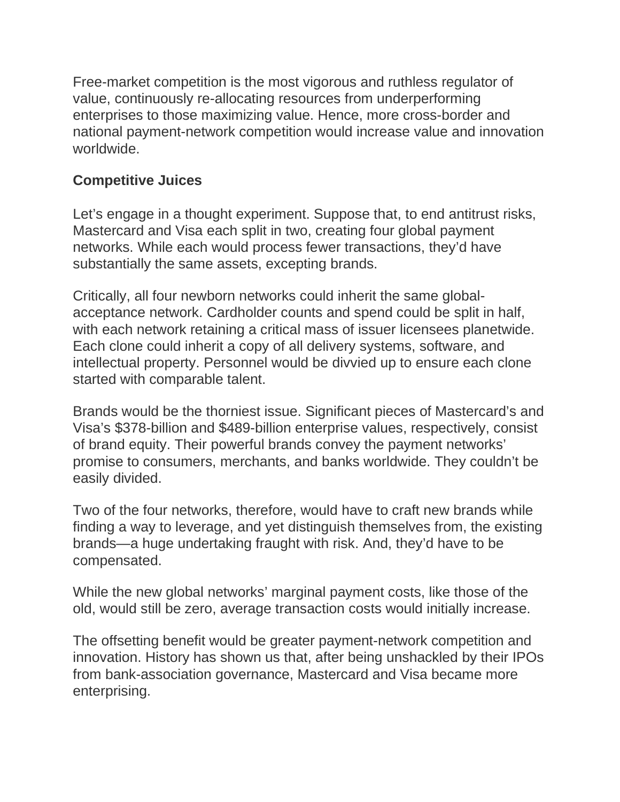Free-market competition is the most vigorous and ruthless regulator of value, continuously re-allocating resources from underperforming enterprises to those maximizing value. Hence, more cross-border and national payment-network competition would increase value and innovation worldwide.

## **Competitive Juices**

Let's engage in a thought experiment. Suppose that, to end antitrust risks, Mastercard and Visa each split in two, creating four global payment networks. While each would process fewer transactions, they'd have substantially the same assets, excepting brands.

Critically, all four newborn networks could inherit the same globalacceptance network. Cardholder counts and spend could be split in half, with each network retaining a critical mass of issuer licensees planetwide. Each clone could inherit a copy of all delivery systems, software, and intellectual property. Personnel would be divvied up to ensure each clone started with comparable talent.

Brands would be the thorniest issue. Significant pieces of Mastercard's and Visa's \$378-billion and \$489-billion enterprise values, respectively, consist of brand equity. Their powerful brands convey the payment networks' promise to consumers, merchants, and banks worldwide. They couldn't be easily divided.

Two of the four networks, therefore, would have to craft new brands while finding a way to leverage, and yet distinguish themselves from, the existing brands—a huge undertaking fraught with risk. And, they'd have to be compensated.

While the new global networks' marginal payment costs, like those of the old, would still be zero, average transaction costs would initially increase.

The offsetting benefit would be greater payment-network competition and innovation. History has shown us that, after being unshackled by their IPOs from bank-association governance, Mastercard and Visa became more enterprising.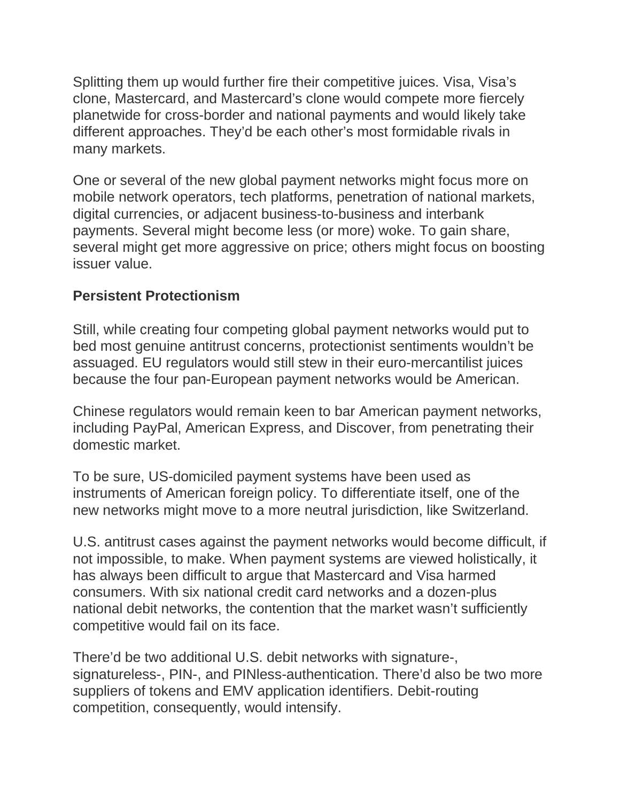Splitting them up would further fire their competitive juices. Visa, Visa's clone, Mastercard, and Mastercard's clone would compete more fiercely planetwide for cross-border and national payments and would likely take different approaches. They'd be each other's most formidable rivals in many markets.

One or several of the new global payment networks might focus more on mobile network operators, tech platforms, penetration of national markets, digital currencies, or adjacent business-to-business and interbank payments. Several might become less (or more) woke. To gain share, several might get more aggressive on price; others might focus on boosting issuer value.

## **Persistent Protectionism**

Still, while creating four competing global payment networks would put to bed most genuine antitrust concerns, protectionist sentiments wouldn't be assuaged. EU regulators would still stew in their euro-mercantilist juices because the four pan-European payment networks would be American.

Chinese regulators would remain keen to bar American payment networks, including PayPal, American Express, and Discover, from penetrating their domestic market.

To be sure, US-domiciled payment systems have been used as instruments of American foreign policy. To differentiate itself, one of the new networks might move to a more neutral jurisdiction, like Switzerland.

U.S. antitrust cases against the payment networks would become difficult, if not impossible, to make. When payment systems are viewed holistically, it has always been difficult to argue that Mastercard and Visa harmed consumers. With six national credit card networks and a dozen-plus national debit networks, the contention that the market wasn't sufficiently competitive would fail on its face.

There'd be two additional U.S. debit networks with signature-, signatureless-, PIN-, and PINless-authentication. There'd also be two more suppliers of tokens and EMV application identifiers. Debit-routing competition, consequently, would intensify.